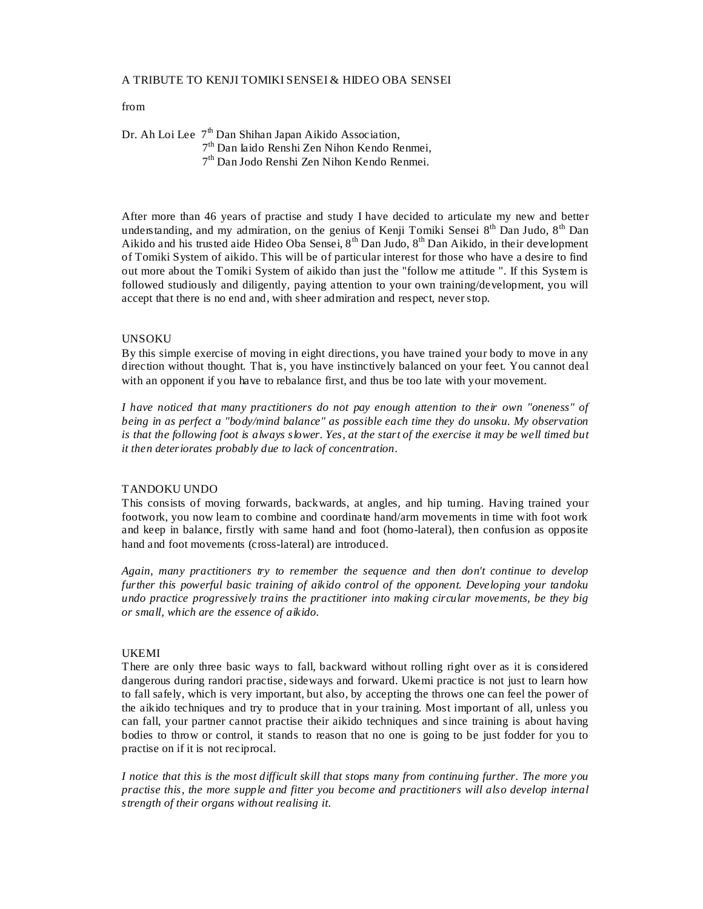### A TRIBUTE TO KENJI TOMIKI SENSEI & HIDEO OBA SENSEI

## from

Dr. Ah Loi Lee  $7<sup>th</sup>$  Dan Shihan Japan Aikido Association, 7th Dan Iaido Renshi Zen Nihon Kendo Renmei,  $7<sup>th</sup>$  Dan Jodo Renshi Zen Nihon Kendo Renmei.

After more than 46 years of practise and study I have decided to articulate my new and better understanding, and my admiration, on the genius of Kenji Tomiki Sensei  $8<sup>th</sup>$  Dan Judo,  $8<sup>th</sup>$  Dan Aikido and his trusted aide Hideo Oba Sensei, 8<sup>th</sup> Dan Judo, 8<sup>th</sup> Dan Aikido, in their development of Tomiki System of aikido. This will be of particular interest for those who have a desire to find out more about the Tomiki System of aikido than just the "follow me attitude ". If this System is followed studiously and diligently, paying attention to your own training/development, you will accept that there is no end and, with sheer admiration and respect, never stop.

### UNSOKU

By this simple exercise of moving in eight directions, you have trained your body to move in any direction without thought. That is, you have instinctively balanced on your feet. You cannot deal with an opponent if you have to rebalance first, and thus be too late with your movement.

*I have noticed that many practitioners do not pay enough attention to their own "oneness" of being in as perfect a "body/mind balance" as possible each time they do unsoku. My observation is that the following foot is always slower. Yes, at the start of the exercise it may be well timed but it then deteriorates probably due to lack of concentration.*

# TANDOKU UNDO

This consists of moving forwards, backwards, at angles, and hip turning. Having trained your footwork, you now learn to combine and coordinate hand/arm movements in time with foot work and keep in balance, firstly with same hand and foot (homo-lateral), then confusion as opposite hand and foot movements (cross-lateral) are introduced.

*Again, many practitioners try to remember the sequence and then don't continue to develop further this powerful basic training of aikido control of the opponent. Developing your tandoku undo practice progressively trains the practitioner into making circular movements, be they big or small, which are the essence of aikido.*

#### UKEMI

There are only three basic ways to fall, backward without rolling right over as it is considered dangerous during randori practise, sideways and forward. Ukemi practice is not just to learn how to fall safely, which is very important, but also, by accepting the throws one can feel the power of the aikido techniques and try to produce that in your training. Most important of all, unless you can fall, your partner cannot practise their aikido techniques and since training is about having bodies to throw or control, it stands to reason that no one is going to be just fodder for you to practise on if it is not reciprocal.

*I notice that this is the most difficult skill that stops many from continuing further. The more you practise this, the more supple and fitter you become and practitioners will also develop internal strength of their organs without realising it.*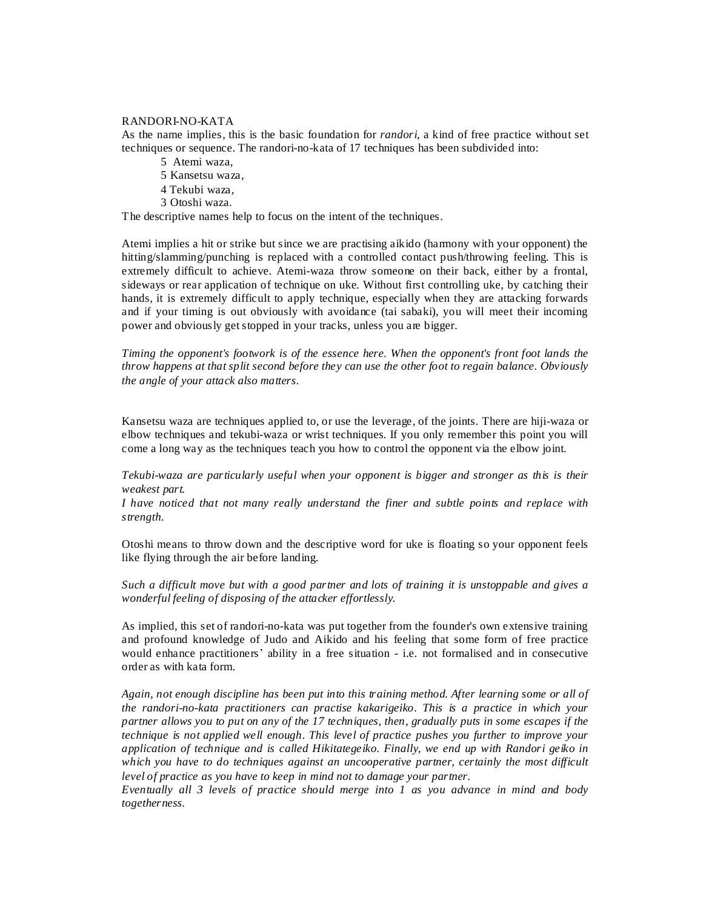### RANDORI-NO-KATA

As the name implies, this is the basic foundation for *randori,* a kind of free practice without set techniques or sequence. The randori-no-kata of 17 techniques has been subdivided into:

- 5 Atemi waza,
- 5 Kansetsu waza,
- 4 Tekubi waza,
- 3 Otoshi waza.

The descriptive names help to focus on the intent of the techniques.

Atemi implies a hit or strike but since we are practising aikido (harmony with your opponent) the hitting/slamming/punching is replaced with a controlled contact push/throwing feeling. This is extremely difficult to achieve. Atemi-waza throw someone on their back, either by a frontal, sideways or rear application of technique on uke. Without first controlling uke, by catching their hands, it is extremely difficult to apply technique, especially when they are attacking forwards and if your timing is out obviously with avoidance (tai sabaki), you will meet their incoming power and obviously get stopped in your tracks, unless you are bigger.

*Timing the opponent's footwork is of the essence here. When the opponent's front foot lands the throw happens at that split second before they can use the other foot to regain balance. Obviously the angle of your attack also matters.*

Kansetsu waza are techniques applied to, or use the leverage, of the joints. There are hiji-waza or elbow techniques and tekubi-waza or wrist techniques. If you only remember this point you will come a long way as the techniques teach you how to control the opponent via the elbow joint.

*Tekubi-waza are particularly useful when your opponent is bigger and stronger as this is their weakest part.*

*I have noticed that not many really understand the finer and subtle points and replace with strength.*

Otoshi means to throw down and the descriptive word for uke is floating so your opponent feels like flying through the air before landing.

*Such a difficult move but with a good partner and lots of training it is unstoppable and gives a wonderful feeling of disposing of the attacker effortlessly.*

As implied, this set of randori-no-kata was put together from the founder's own extensive training and profound knowledge of Judo and Aikido and his feeling that some form of free practice would enhance practitioners' ability in a free situation - i.e. not formalised and in consecutive order as with kata form.

*Again, not enough discipline has been put into this training method. After learning some or all of the randori-no-kata practitioners can practise kakarigeiko. This is a practice in which your partner allows you to put on any of the 17 techniques, then, gradually puts in some escapes if the technique is not applied well enough. This level of practice pushes you further to improve your application of technique and is called Hikitategeiko. Finally, we end up with Randori geiko in which you have to do techniques against an uncooperative partner, certainly the most difficult level of practice as you have to keep in mind not to damage your partner.*

*Eventually all 3 levels of practice should merge into 1 as you advance in mind and body togetherness.*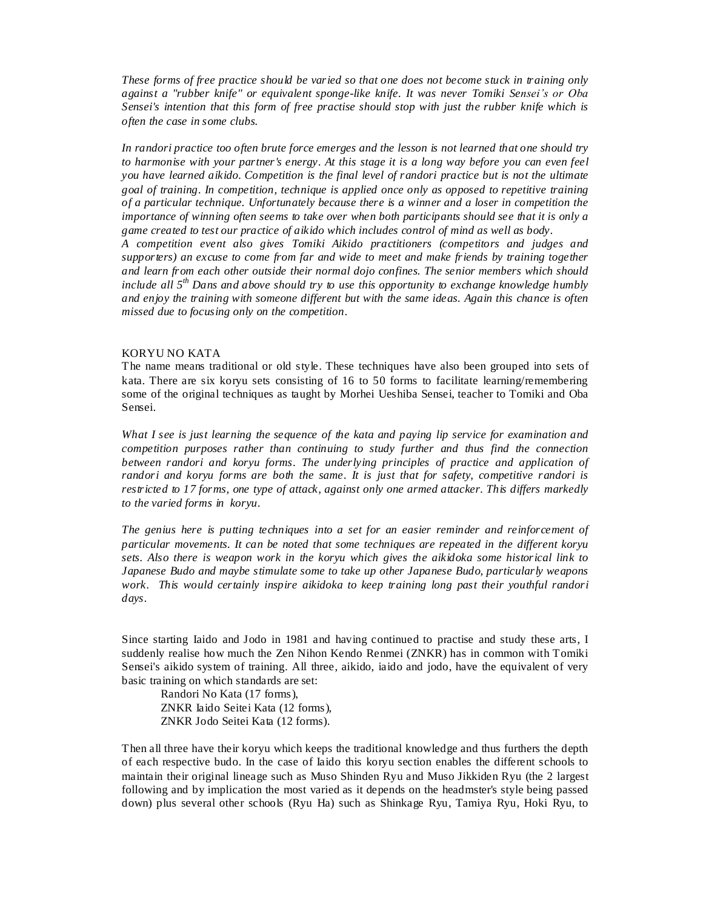*These forms of free practice should be varied so that one does not become stuck in training only against a "rubber knife" or equivalent sponge-like knife. It was never Tomiki Sensei's or Oba Sensei's intention that this form of free practise should stop with just the rubber knife which is often the case in some clubs.* 

*In randori practice too often brute force emerges and the lesson is not learned that one should try to harmonise with your partner's energy. At this stage it is a long way before you can even feel you have learned aikido. Competition is the final level of randori practice but is not the ultimate goal of training. In competition, technique is applied once only as opposed to repetitive training of a particular technique. Unfortunately because there is a winner and a loser in competition the importance of winning often seems to take over when both participants should see that it is only a game created to test our practice of aikido which includes control of mind as well as body.*

*A competition event also gives Tomiki Aikido practitioners (competitors and judges and supporters) an excuse to come from far and wide to meet and make friends by training together and learn from each other outside their normal dojo confines. The senior members which should include all 5th Dans and above should try to use this opportunity to exchange knowledge humbly and enjoy the training with someone different but with the same ideas. Again this chance is often missed due to focusing only on the competition.*

### KORYU NO KATA

The name means traditional or old style. These techniques have also been grouped into sets of kata. There are six koryu sets consisting of 16 to 50 forms to facilitate learning/remembering some of the original techniques as taught by Morhei Ueshiba Sensei, teacher to Tomiki and Oba Sensei.

*What I see is just learning the sequence of the kata and paying lip service for examination and competition purposes rather than continuing to study further and thus find the connection*  between randori and koryu forms. The underlying principles of practice and application of *randori and koryu forms are both the same. It is just that for safety, competitive randori is restricted to 17 forms, one type of attack, against only one armed attacker. This differs markedly to the varied forms in koryu.*

*The genius here is putting techniques into a set for an easier reminder and reinforcement of particular movements. It can be noted that some techniques are repeated in the different koryu sets. Also there is weapon work in the koryu which gives the aikidoka some historical link to Japanese Budo and maybe stimulate some to take up other Japanese Budo, particularly weapons work. This would certainly inspire aikidoka to keep training long past their youthful randori days.* 

Since starting Iaido and Jodo in 1981 and having continued to practise and study these arts, I suddenly realise how much the Zen Nihon Kendo Renmei (ZNKR) has in common with Tomiki Sensei's aikido system of training. All three, aikido, iaido and jodo, have the equivalent of very basic training on which standards are set:

Randori No Kata (17 forms), ZNKR Iaido Seitei Kata (12 forms), ZNKR Jodo Seitei Kata (12 forms).

Then all three have their koryu which keeps the traditional knowledge and thus furthers the depth of each respective budo. In the case of Iaido this koryu section enables the different schools to maintain their original lineage such as Muso Shinden Ryu and Muso Jikkiden Ryu (the 2 largest following and by implication the most varied as it depends on the headmster's style being passed down) plus several other schools (Ryu Ha) such as Shinkage Ryu, Tamiya Ryu, Hoki Ryu, to